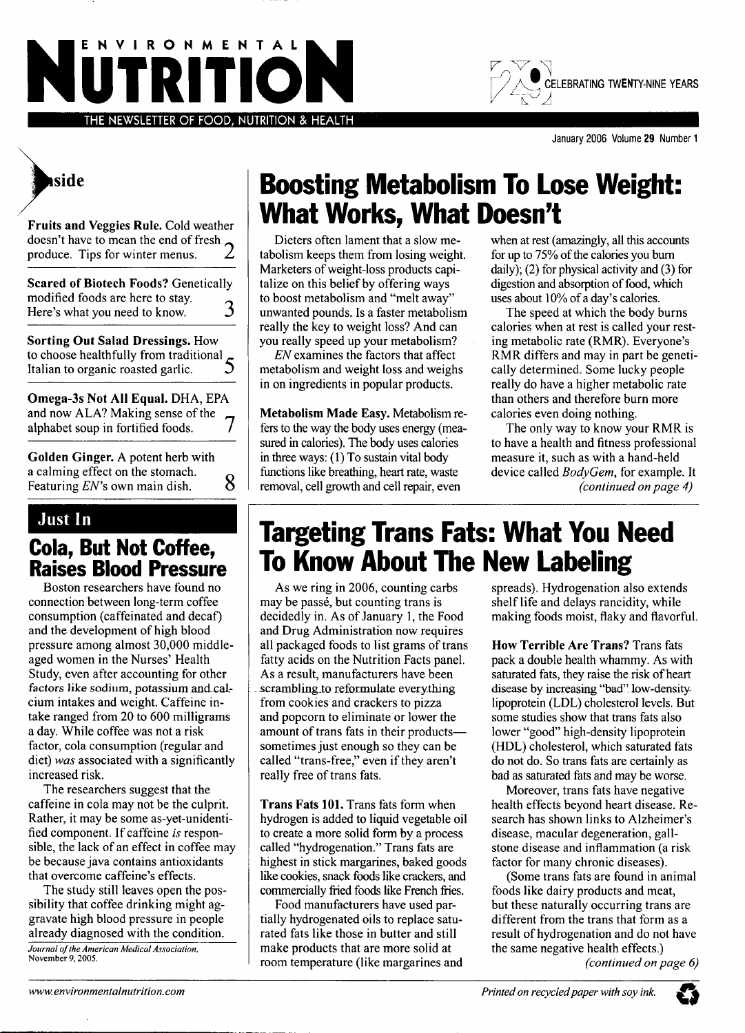



January 2006 Volume 29 Number 1



**Fruits and Veggies Rule.** Cold weather doesn't have to mean the end of fresh  $\sim$ produce. Tips for winter menus. *L*

**Scared of Biotech Foods?** Genetically modified foods are here to stay.<br>Here's what you need to know 3 Here's what you need to know. **Sorting Out Salad Dressings.** How to choose healthfully from traditional \_ Italian to organic roasted garlic. **Omega-3s Not All Equal.** DHA, EPA and now ALA? Making sense of the  $\tau$ <br>alphabet soun in fortified foods alphabet soup in fortified foods.

**Golden Ginger.** A potent herb with a calming effect on the stomach.<br>Featuring  $EN$ 's own main dish.  $8$ Featuring  $EN$ 's own main dish.

#### **Just In**

### **Coja, But Not Coffee, Raises Blood Pressure**

Boston researchers have found no connection between long-term coffee consumption (caffeinated and decaf) and the development of high blood pressure among almost 30,000 middleaged women in the Nurses' Health Study, even after accounting for other factors like sodium, potassium and calcium intakes and weight. Caffeine intake ranged from 20 to 600 milligrams a day. While coffee was not a risk factor, cola consumption (regular and diet) *was* associated with a significantly increased risk.

The researchers suggest that the caffeine in cola may not be the culprit. Rather, it may be some as-yet-unidentified component. If caffeine *is* responsible, the lack of an effect in coffee may be because java contains antioxidants that overcome caffeine's effects.

The study still leaves open the possibility that coffee drinking might aggravate high blood pressure in people already diagnosed with the condition. *Journal ofthe American Medical Associalion,*

November 9, 2005.

# **Boosting Metabolism To Lose Weight: Wliat Works, What Doesn't**

Dieters often lament that a slow metabolism keeps them from losing weight. Marketers of weight-loss products capitalize on this belief by offering ways to boost metabolism and "melt away" unwanted pounds. Is a faster metabolism really the key to weight loss? And can you really speed up your metabolism?

*EN* examines the factors that affect metabolism and weight loss and weighs in on ingredients in popular products.

**Metabolism Made Easy.** Metabolism refers to the way the body uses energy (measured in calories). The body uses calories in three ways: (1) To sustain vital body fionctions like breathing, heart rate, waste removal, cell growth and cell repair, even

when at rest (amazingly, all this accounts for up to 75% of the calories you burn daily); (2) for physical activity and (3) for digestion and absorption of food, which uses about 10% of a day's calories.

The speed at which the body burns calories when at rest is called your resting metabolic rate (RMR). Everyone's RMR differs and may in part be genetically determined. Some lucky people really do have a higher metabolic rate than others and therefore burn more calories even doing nothing.

The only way to know your RMR is to have a health and fitness professional measure it, such as with a hand-held device called *BodyGem,* for example. It *(continued on page 4)*

## **Targeting Trans Fats: What You Need To Know About The New Labeling**

As we ring in 2006, counting carbs may be passé, but counting trans is decidedly in. As of January 1, the Food and Drug Administration now requires all packaged foods to list grams of trans fatty acids on the Nutrition Facts panel. As a result, manufacturers have been scrambling to reformulate everything from cookies and crackers to pizza and popcorn to eliminate or lower the amount of trans fats in their products sometimes just enough so they can be called "trans-free," even if they aren't really free of trans fats.

**Trans Fats 101.** Trans fats form when hydrogen is added to liquid vegetable oil to create a more solid form by a process called "hydrogenation." Trans fats are highest in stick margarines, baked goods like cookies, snack foods like crackers, and commercially fiied foods like French fries.

Food manufacturers have used partially hydrogenated oils to replace saturated fats like those in butter and still make products that are more solid at room temperature (like margarines and spreads). Hydrogenation also extends shelf life and delays rancidity, while making foods moist, flaky and flavorful.

**How Terrible Are Trans?** Trans fats pack a double health whammy. As with saturated fats, they raise the risk of heart disease by increasing "bad" low-density-Iipoprotein (LDL) cholesterol levels. But some studies show that trans fats also lower "good" high-density lipoprotein (HDL) cholesterol, which saturated fats do not do. So trans fats are certainly as bad as saturated fats and may be worse.

Moreover, trans fats have negative health effects beyond heart disease. Research has shown links to Alzheimer's disease, macular degeneration, gallstone disease and inflammation (a risk factor for many chronic diseases).

(Some trans fats are found in animal foods like dairy products and meat, but these naturally occurring trans are different from the trans that form as a result of hydrogenation and do not have the same negative health effects.)

*(continued on page 6)*

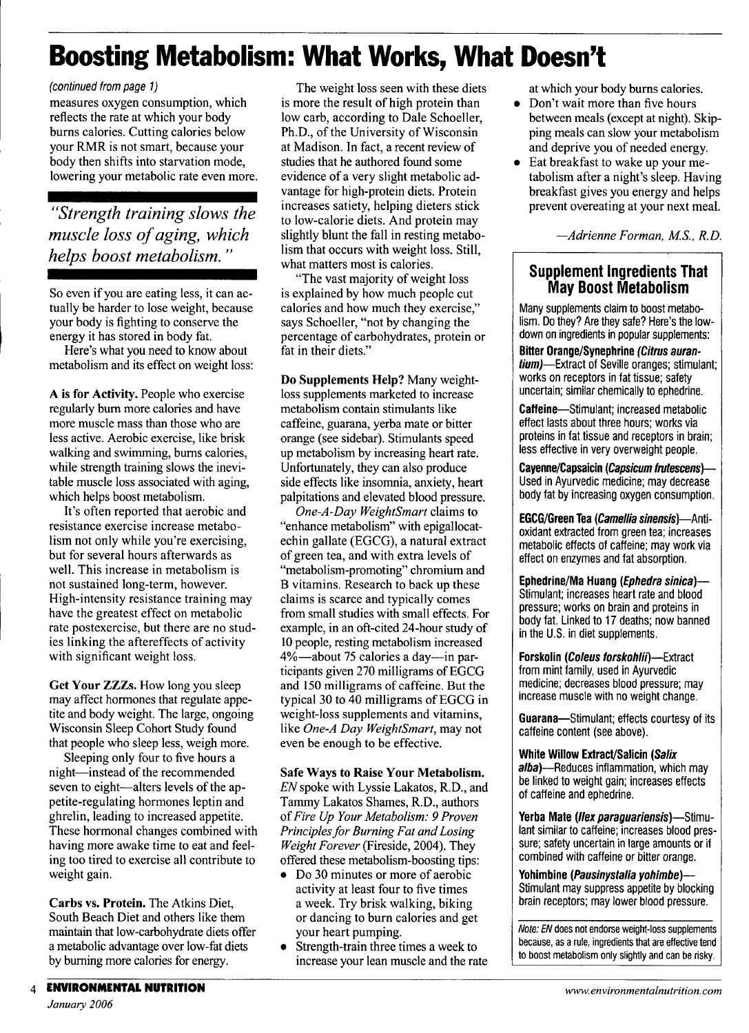# **Boosting Metabolism: What Works, What Doesn't**

#### *(continued trom page 1)*

measures oxygen consumption, which reflects the rate at which your body burns calories. Cutting calories below your RMR is not smart, because your body then shifts into starvation mode, lowering your metabolic rate even more.

*"Strength training slows the muscle loss of aging, which helps boost metabolism."*

So even if you are eating less, it can actually be harder to lose weight, because your body is fighting to conserve the energy it has stored in body fat.

Here's what you need to know about metabolism and its effect on weight loss:

**A is for Activity.** People who exercise regularly bum more calories and have more muscle mass than those who are less active. Aerobic exercise, like brisk walking and swimming, bums calories, while strength training slows the inevitable muscle loss associated with aging, which helps boost metabolism.

It's often reported that aerobic and resistance exercise increase metabolism not only while you're exercising, but for several hours afterwards as well. This increase in metabolism is not sustained long-term, however. High-intensity resistance training may have the greatest effect on metabolic rate postexercise, but there are no studies linking the aftereffects of activity with significant weight loss.

**Get Your ZZZs.** How long you sleep may affect hormones that regulate appetite and body weight. The large, ongoing Wisconsin Sleep Cohort Study found that people who sleep less, weigh more.

Sleeping only four to five hours a night—instead of the recommended seven to eight—alters levels of the appetite-regulating hormones leptin and ghrelin, leading to increased appetite. These hormonal changes combined with having more awake time to eat and feeling too tired to exercise all contribute to weight gain.

**Carbs vs. Protein.** The Atkins Diet, South Beach Diet and others like them maintain that low-carbohydrate diets offer a metabolic advantage over low-fat diets by burning more calories for energy.

The weight loss seen with these diets is more the result of high protein than low carb, according to Dale Schoeller, Ph.D., of the University of Wisconsin at Madison. In fact, a recent review of studies that he authored found some evidence of a very slight metabolic advantage for high-protein diets. Protein increases satiety, helping dieters stick to low-calorie diets. And protein may slightly blunt the fall in resting metabolism that occurs with weight loss. Still, what matters most is calories.

"The vast majority of weight loss is explained by how much people cut calories and how much they exercise," says Schoeller, "not by changing the percentage of carbohydrates, protein or fat in their diets."

**Do Supplements Help?** Many weightloss supplements marketed to increase metabolism contain stimulants like caffeine, guarana, yerba mate or bitter orange (see sidebar). Stimulants speed up metabolism by increasing heart rate. Unfortunately, they can also produce side effects like insomnia, anxiety, heart palpitations and elevated blood pressure.

*One-A-Day WeightSmart* claims to "enhance metabolism" with epigallocatechin gallate (EGCG), a natural extract of green tea, and with extra levels of "metabolism-promoting" chromium and B vitamins. Research to back up these claims is scarce and typically comes from small studies with small effects. For example, in an oft-cited 24-hour study of 10 people, resting metabolism increased 4%—about 75 calories a day—in participants given 270 milligrams of EGCG and 150 milligrams of caffeine. But the typical 30 to 40 milligrams of EGCG in weight-loss supplements and vitamins, like *One-A Day WeightSmart,* may not even be enough to be effective.

### **Safe Ways to Raise Your Metabolism.**

*EN spoke* with Lyssie Lakatos, R.D., and Tammy Lakatos Shames, R.D., authors *of Fire Up Your Metabolism: 9 Proven Principles for Burning Fat and Losing Weight Forever* (Fireside, 2004). They offered these metabolism-boosting tips:

- Do 30 minutes or more of aerobic activity at least four to five times a week. Try brisk walking, biking or dancing to burn calories and get your heart pumping.
- Strength-train three times a week to increase your lean muscle and the rate

at which your body burns calories.

- Don't wait more than five hours between meals (except at night). Skipping meals can slow your metabolism and deprive you of needed energy.
- Eat breakfast to wake up your metabolism after a night's sleep. Having breakfast gives you energy and helps prevent overeating at your next meal.

—*Adrienne Forman, M.S., R.D.*

#### **Supplement Ingredients That May Boost Metabolism**

Many supplements claim to boost metabolism. Do they? Are they safe? Here's the lowdown on ingredients in popular supplements:

**Bitter Orange/Synephrine {Citrus auran***tium*)—Extract of Seville oranges; stimulant; works on receptors in fat tissue; safety uncertain; similar chemicaliy to ephedrine.

**Caffeine**—Stimulant; increased metabolic effect lasts about three hours; works via proteins in fat tissue and receptors in brain; less effective in very overweight people.

**Cayenne/Capsaicin (Capsicum fwtescens}—** Used in Ayurvedic medicine; may decrease body fat by increasing oxygen consumption.

**EGCG/Green Tea (Camellia sinensis)—Anti**oxidant extracted from green tea; increases metabolic effects of caffeine; may work via effect on enzymes and fat absorption.

**Ephedrine/Ma Huang {Ephedra sinica)**— Stimulant; increases heart rate and blood pressure; works on brain and proteins in body fat. Linked to 17 deaths; now banned in the U.S. in diet supplements.

**Forskolin** (*Coleus forskohlii*)—Extract from mint family, used in Ayurvedic medicine; decreases blood pressure; may increase muscle with no weight change.

**Guarana—**Stimulant; effects courtesy of its caffeine content (see above).

**White Willow Extract/Salicin {Satix alba)**—Reduces inflammation, which may be linked to weight gain; increases effects of caffeine and ephedrine.

Yerba Mate (Ilex paraquariensis)—Stimulant similar to caffeine; increases blood pressure; safety uncertain in large amounts or if combined with caffeine or bitter orange.

Yohimbine (Pausinystalia yohimbe)— Stimulant may suppress appetite by blocking brain receptors; may lower blood pressure.

**Note: EN does not endorse weight-loss supplements because, as a rule, ingredients that are effective tend to boost metabolism only slightly and can be risky.**